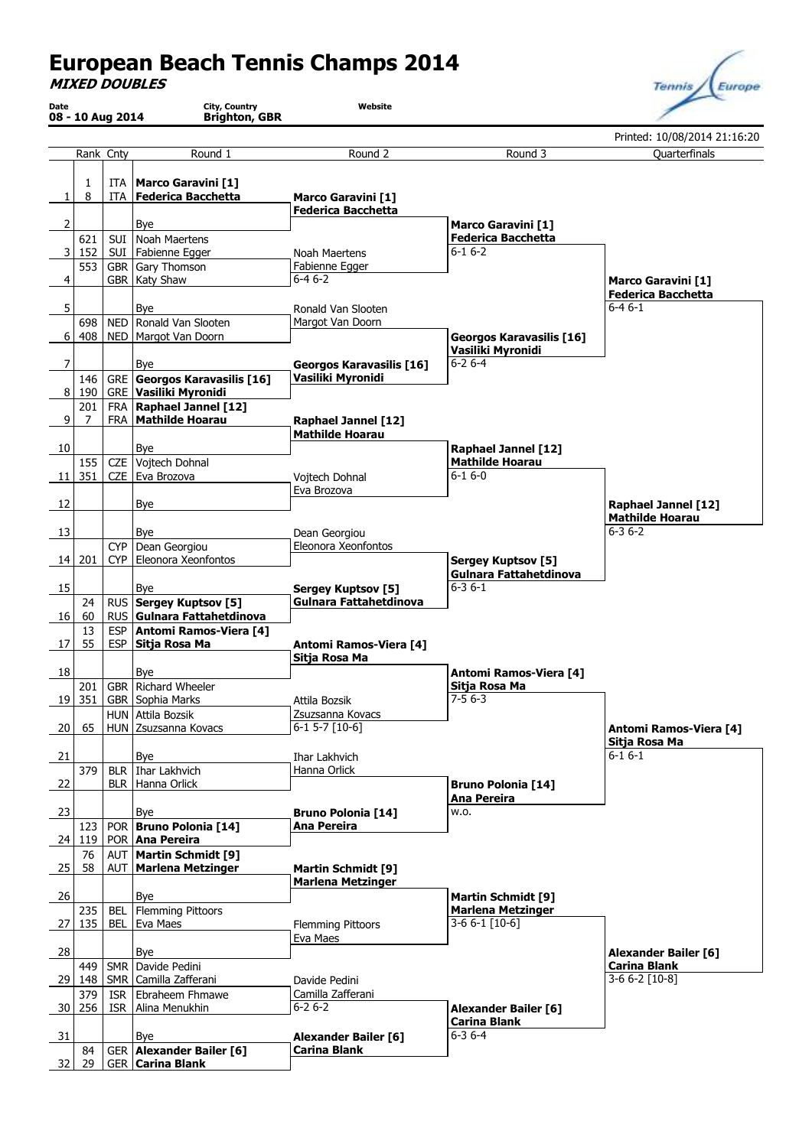## **European Beach Tennis Champs 2014**

**MIXED DOUBLES**

| Date            |            | 08 - 10 Aug 2014 | City, Country<br><b>Brighton, GBR</b>                        | Website                                  |                                                        |                                                |
|-----------------|------------|------------------|--------------------------------------------------------------|------------------------------------------|--------------------------------------------------------|------------------------------------------------|
|                 |            |                  |                                                              |                                          |                                                        | Printed: 10/08/2014 21:16:20                   |
|                 |            | Rank Cnty        | Round 1                                                      | Round 2                                  | Round 3                                                | Quarterfinals                                  |
|                 | 1          | ITA              | <b>Marco Garavini [1]</b>                                    |                                          |                                                        |                                                |
| 1               | 8          | ITA              | <b>Federica Bacchetta</b>                                    | <b>Marco Garavini [1]</b>                |                                                        |                                                |
|                 |            |                  |                                                              | <b>Federica Bacchetta</b>                |                                                        |                                                |
| 2               | 621        | SUI              | Bye<br>Noah Maertens                                         |                                          | <b>Marco Garavini [1]</b><br><b>Federica Bacchetta</b> |                                                |
| 3               | 152        |                  | SUI   Fabienne Egger                                         | Noah Maertens                            | $6 - 16 - 2$                                           |                                                |
|                 | 553        |                  | GBR Gary Thomson                                             | Fabienne Egger                           |                                                        |                                                |
| 4               |            |                  | GBR   Katy Shaw                                              | $6 - 46 - 2$                             |                                                        | <b>Marco Garavini [1]</b>                      |
|                 |            |                  |                                                              |                                          |                                                        | <b>Federica Bacchetta</b><br>$6 - 46 - 1$      |
| 5               | 698        |                  | Bye<br>NED   Ronald Van Slooten                              | Ronald Van Slooten<br>Margot Van Doorn   |                                                        |                                                |
| 6               | 408        |                  | NED   Margot Van Doorn                                       |                                          | <b>Georgos Karavasilis [16]</b>                        |                                                |
|                 |            |                  |                                                              |                                          | Vasiliki Myronidi                                      |                                                |
| $\overline{7}$  |            |                  | Bye                                                          | <b>Georgos Karavasilis [16]</b>          | $6 - 26 - 4$                                           |                                                |
|                 | 146        |                  | <b>GRE</b> Georgos Karavasilis [16]                          | Vasiliki Myronidi                        |                                                        |                                                |
| 8 <sup>1</sup>  | 190<br>201 |                  | <b>GRE</b> Vasiliki Myronidi<br>FRA   Raphael Jannel [12]    |                                          |                                                        |                                                |
| 9               | 7          |                  | FRA   Mathilde Hoarau                                        | <b>Raphael Jannel [12]</b>               |                                                        |                                                |
|                 |            |                  |                                                              | <b>Mathilde Hoarau</b>                   |                                                        |                                                |
| 10              |            |                  | Bye                                                          |                                          | <b>Raphael Jannel [12]</b>                             |                                                |
|                 | 155        |                  | CZE Vojtech Dohnal                                           |                                          | <b>Mathilde Hoarau</b>                                 |                                                |
| 11 <sup>1</sup> | 351        |                  | CZE   Eva Brozova                                            | Vojtech Dohnal<br>Eva Brozova            | $6 - 16 - 0$                                           |                                                |
| 12              |            |                  | Bye                                                          |                                          |                                                        | <b>Raphael Jannel [12]</b>                     |
|                 |            |                  |                                                              |                                          |                                                        | <b>Mathilde Hoarau</b>                         |
| 13              |            |                  | Bye                                                          | Dean Georgiou                            |                                                        | $6 - 36 - 2$                                   |
|                 |            | CYP              | Dean Georgiou                                                | Eleonora Xeonfontos                      |                                                        |                                                |
|                 | 14   201   |                  | CYP   Eleonora Xeonfontos                                    |                                          | <b>Sergey Kuptsov [5]</b>                              |                                                |
| 15              |            |                  | Bye                                                          | <b>Sergey Kuptsov [5]</b>                | Gulnara Fattahetdinova<br>$6 - 36 - 1$                 |                                                |
|                 | 24         |                  | RUS   Sergey Kuptsov [5]                                     | Gulnara Fattahetdinova                   |                                                        |                                                |
| 16              | 60         |                  | RUS Gulnara Fattahetdinova                                   |                                          |                                                        |                                                |
|                 | 13         | ESP              | Antomi Ramos-Viera [4]                                       |                                          |                                                        |                                                |
| 17              | 55         | ESP              | Sitja Rosa Ma                                                | <b>Antomi Ramos-Viera [4]</b>            |                                                        |                                                |
| 18              |            |                  | Bye                                                          | Sitja Rosa Ma                            | <b>Antomi Ramos-Viera [4]</b>                          |                                                |
|                 | 201        |                  | GBR   Richard Wheeler                                        |                                          | Sitja Rosa Ma                                          |                                                |
|                 | 19 351     |                  | GBR Sophia Marks                                             | Attila Bozsik                            | $7 - 56 - 3$                                           |                                                |
|                 |            |                  | HUN Attila Bozsik                                            | Zsuzsanna Kovacs                         |                                                        |                                                |
| 20              | 65         |                  | HUN Zsuzsanna Kovacs                                         | $6-1$ 5-7 $[10-6]$                       |                                                        | <b>Antomi Ramos-Viera [4]</b><br>Sitja Rosa Ma |
| 21              |            |                  | Bye                                                          | <b>Ihar Lakhvich</b>                     |                                                        | $6 - 16 - 1$                                   |
|                 | 379        |                  | BLR   Ihar Lakhvich                                          | Hanna Orlick                             |                                                        |                                                |
| 22              |            |                  | BLR   Hanna Orlick                                           |                                          | <b>Bruno Polonia [14]</b>                              |                                                |
| 23              |            |                  | Bye                                                          |                                          | <b>Ana Pereira</b><br>W.O.                             |                                                |
|                 | 123        |                  | POR   Bruno Polonia [14]                                     | <b>Bruno Polonia [14]</b><br>Ana Pereira |                                                        |                                                |
|                 | 24 119     |                  | POR   Ana Pereira                                            |                                          |                                                        |                                                |
|                 | 76         |                  | AUT   Martin Schmidt [9]                                     |                                          |                                                        |                                                |
| 25              | 58         |                  | AUT   Marlena Metzinger                                      | <b>Martin Schmidt [9]</b>                |                                                        |                                                |
| 26              |            |                  | Bye                                                          | <b>Marlena Metzinger</b>                 |                                                        |                                                |
|                 | 235        | BEL              | <b>Flemming Pittoors</b>                                     |                                          | <b>Martin Schmidt [9]</b><br><b>Marlena Metzinger</b>  |                                                |
| 27              | 135        | BEL              | Eva Maes                                                     | <b>Flemming Pittoors</b>                 | $3-66-1$ [10-6]                                        |                                                |
|                 |            |                  |                                                              | Eva Maes                                 |                                                        |                                                |
| 28              |            |                  | Bye                                                          |                                          |                                                        | <b>Alexander Bailer [6]</b>                    |
| 29              | 449<br>148 |                  | SMR   Davide Pedini<br>SMR   Camilla Zafferani               | Davide Pedini                            |                                                        | <b>Carina Blank</b><br>3-6 6-2 [10-8]          |
|                 | 379        |                  | ISR   Ebraheem Fhmawe                                        | Camilla Zafferani                        |                                                        |                                                |
| 30 <sup>1</sup> | 256        |                  | ISR   Alina Menukhin                                         | $6 - 26 - 2$                             | <b>Alexander Bailer [6]</b>                            |                                                |
|                 |            |                  |                                                              |                                          | <b>Carina Blank</b>                                    |                                                |
| 31              |            |                  | Bye                                                          | <b>Alexander Bailer [6]</b>              | $6 - 36 - 4$                                           |                                                |
| 32              | 84<br>29   |                  | <b>GER Alexander Bailer [6]</b><br><b>GER   Carina Blank</b> | <b>Carina Blank</b>                      |                                                        |                                                |
|                 |            |                  |                                                              |                                          |                                                        |                                                |

Tennis Europe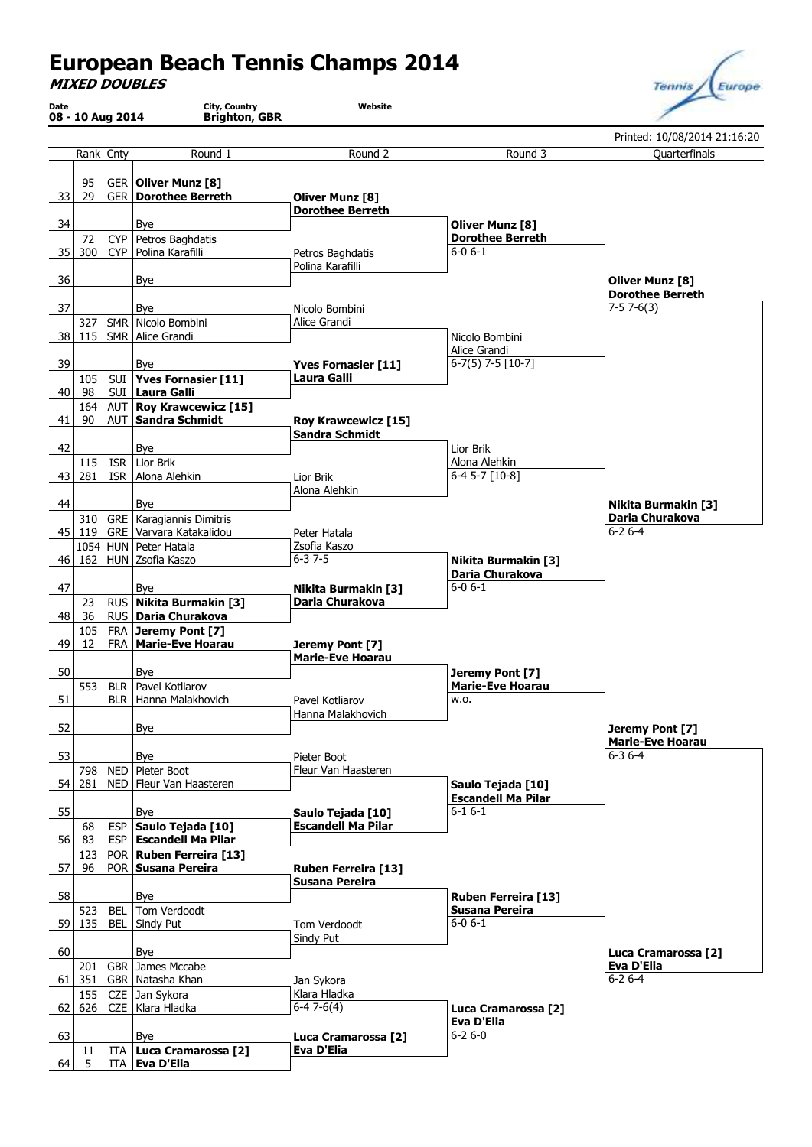## **European Beach Tennis Champs 2014**

**MIXED DOUBLES**

| Date           | 08 - 10 Aug 2014 |            | City, Country<br><b>Brighton, GBR</b>                      | Website                                    |                                                |                                            |
|----------------|------------------|------------|------------------------------------------------------------|--------------------------------------------|------------------------------------------------|--------------------------------------------|
|                |                  |            |                                                            |                                            |                                                | Printed: 10/08/2014 21:16:20               |
|                | Rank Cnty        |            | Round 1                                                    | Round 2                                    | Round 3                                        | Quarterfinals                              |
| 33             | 95<br>29         |            | GER   Oliver Munz [8]<br><b>GER Dorothee Berreth</b>       | Oliver Munz [8]<br><b>Dorothee Berreth</b> |                                                |                                            |
| 34             |                  |            | Bye                                                        |                                            | <b>Oliver Munz [8]</b>                         |                                            |
| 35             | 72<br>300        |            | CYP   Petros Baghdatis<br>CYP   Polina Karafilli           | Petros Baghdatis                           | <b>Dorothee Berreth</b><br>$6 - 06 - 1$        |                                            |
|                |                  |            |                                                            | Polina Karafilli                           |                                                |                                            |
| 36             |                  |            | <b>Bye</b>                                                 |                                            |                                                | <b>Oliver Munz [8]</b>                     |
| 37             |                  |            | Bye                                                        | Nicolo Bombini                             |                                                | <b>Dorothee Berreth</b><br>$7-57-6(3)$     |
|                | 327              |            | SMR Nicolo Bombini                                         | Alice Grandi                               |                                                |                                            |
| 38             | 115              |            | SMR   Alice Grandi                                         |                                            | Nicolo Bombini                                 |                                            |
| 39             |                  |            | Bye                                                        | Yves Fornasier [11]                        | Alice Grandi<br>$6-7(5)$ 7-5 $[10-7]$          |                                            |
|                | 105              |            | SUI Yves Fornasier [11]                                    | Laura Galli                                |                                                |                                            |
| 40             | 98               |            | SUI Laura Galli                                            |                                            |                                                |                                            |
| 41             | 164<br>90        |            | AUT   Roy Krawcewicz [15]<br>AUT Sandra Schmidt            | <b>Roy Krawcewicz [15]</b>                 |                                                |                                            |
|                |                  |            |                                                            | <b>Sandra Schmidt</b>                      |                                                |                                            |
| 42             |                  |            | Bye                                                        |                                            | Lior Brik                                      |                                            |
| 43             | 115<br>281       | <b>ISR</b> | Lior Brik<br>ISR   Alona Alehkin                           | Lior Brik                                  | Alona Alehkin<br>$6-4$ 5-7 $[10-8]$            |                                            |
|                |                  |            |                                                            | Alona Alehkin                              |                                                |                                            |
| 44             |                  |            | Bye                                                        |                                            |                                                | <b>Nikita Burmakin [3]</b>                 |
| 45 I           | 310<br>119       |            | GRE   Karagiannis Dimitris<br>GRE Varvara Katakalidou      | Peter Hatala                               |                                                | Daria Churakova<br>$6 - 26 - 4$            |
|                |                  |            | 1054 HUN Peter Hatala                                      | Zsofia Kaszo                               |                                                |                                            |
|                | $46$   162       |            | HUN Zsofia Kaszo                                           | $6 - 37 - 5$                               | <b>Nikita Burmakin [3]</b>                     |                                            |
| 47             |                  |            | Bye                                                        | Nikita Burmakin [3]                        | Daria Churakova<br>$6 - 06 - 1$                |                                            |
|                | 23               |            | RUS   Nikita Burmakin [3]                                  | Daria Churakova                            |                                                |                                            |
| 48             | 36               |            | RUS   Daria Churakova                                      |                                            |                                                |                                            |
| 49             | 105<br>12        |            | FRA Jeremy Pont [7]<br>FRA   Marie-Eve Hoarau              | Jeremy Pont [7]                            |                                                |                                            |
|                |                  |            |                                                            | <b>Marie-Eve Hoarau</b>                    |                                                |                                            |
| 50             | 553              |            | Bye<br>BLR   Pavel Kotliarov                               |                                            | Jeremy Pont [7]<br><b>Marie-Eve Hoarau</b>     |                                            |
| 51             |                  |            | BLR   Hanna Malakhovich                                    | Pavel Kotliarov                            | W.O.                                           |                                            |
|                |                  |            |                                                            | Hanna Malakhovich                          |                                                |                                            |
| 52             |                  |            | Bye                                                        |                                            |                                                | Jeremy Pont [7]<br><b>Marie-Eve Hoarau</b> |
| 53             |                  |            | Bye                                                        | Pieter Boot                                |                                                | $6 - 36 - 4$                               |
|                | 798              |            | NED   Pieter Boot                                          | Fleur Van Haasteren                        |                                                |                                            |
| 54             | 281              |            | NED   Fleur Van Haasteren                                  |                                            | Saulo Tejada [10]<br><b>Escandell Ma Pilar</b> |                                            |
| 55             |                  |            | Bye                                                        | Saulo Tejada [10]                          | $6 - 16 - 1$                                   |                                            |
| 56             | 68<br>83         |            | ESP   Saulo Tejada [10]<br><b>ESP   Escandell Ma Pilar</b> | <b>Escandell Ma Pilar</b>                  |                                                |                                            |
|                | 123              |            | POR   Ruben Ferreira [13]                                  |                                            |                                                |                                            |
| -57            | 96               |            | POR Susana Pereira                                         | Ruben Ferreira [13]                        |                                                |                                            |
| 58             |                  |            | Bye                                                        | <b>Susana Pereira</b>                      |                                                |                                            |
|                | 523              | BEL        | Tom Verdoodt                                               |                                            | Ruben Ferreira [13]<br>Susana Pereira          |                                            |
| $\frac{59}{ }$ | 135              | BEL        | Sindy Put                                                  | Tom Verdoodt                               | $6 - 0 6 - 1$                                  |                                            |
| 60             |                  |            | Bye                                                        | Sindy Put                                  |                                                |                                            |
|                | 201              |            | GBR James Mccabe                                           |                                            |                                                | Luca Cramarossa [2]<br>Eva D'Elia          |
|                | 61 351           |            | GBR Natasha Khan                                           | Jan Sykora                                 |                                                | $6 - 26 - 4$                               |
|                | 155<br>62   626  |            | CZE   Jan Sykora<br>CZE   Klara Hladka                     | Klara Hladka<br>$6-47-6(4)$                | Luca Cramarossa [2]                            |                                            |
|                |                  |            |                                                            |                                            | Eva D'Elia                                     |                                            |
| 63             |                  |            | Bye                                                        | Luca Cramarossa [2]                        | $6 - 26 - 0$                                   |                                            |
| 64 I           | 11<br>5          |            | ITA   Luca Cramarossa [2]<br>ITA   Eva D'Elia              | Eva D'Elia                                 |                                                |                                            |
|                |                  |            |                                                            |                                            |                                                |                                            |

Tennis Europe